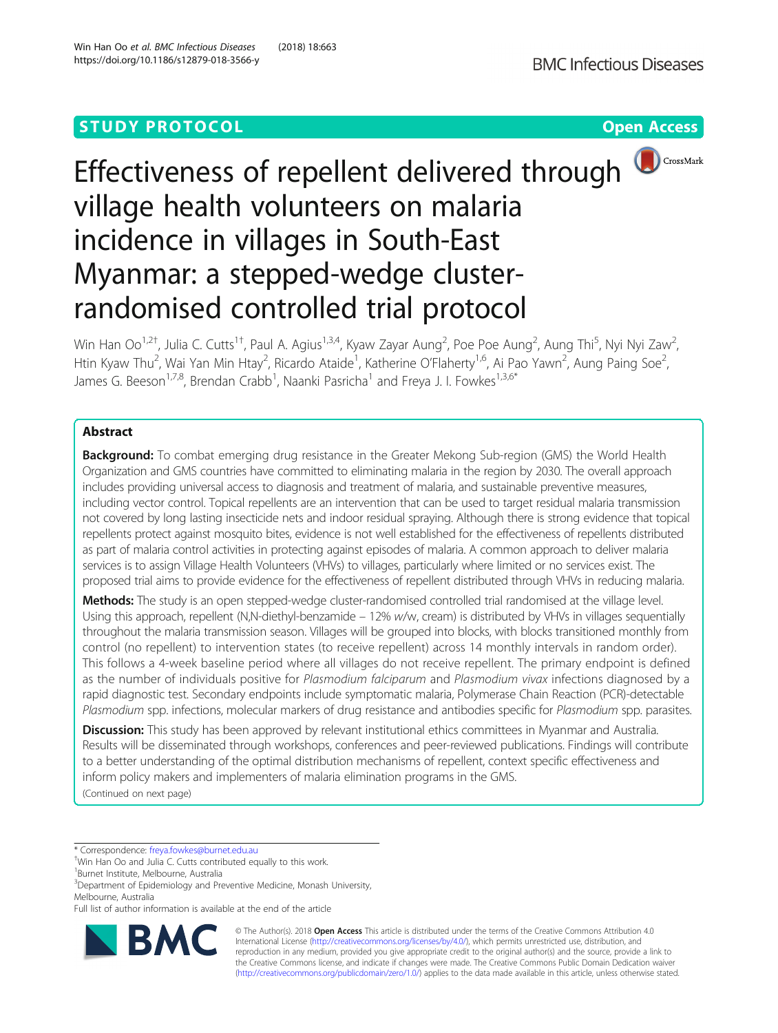## **STUDY PROTOCOL CONSUMING THE CONSUMING THE CONSUMING TEAM CONSUMING THE CONSUMING TEAM CONSUMING THE CONSUMING TEAM**



# Effectiveness of repellent delivered through village health volunteers on malaria incidence in villages in South-East Myanmar: a stepped-wedge clusterrandomised controlled trial protocol

Win Han Oo<sup>1,2†</sup>, Julia C. Cutts<sup>1†</sup>, Paul A. Agius<sup>1,3,4</sup>, Kyaw Zayar Aung<sup>2</sup>, Poe Poe Aung<sup>2</sup>, Aung Thi<sup>5</sup>, Nyi Nyi Zaw<sup>2</sup> , Htin Kyaw Thu<sup>2</sup>, Wai Yan Min Htay<sup>2</sup>, Ricardo Ataide<sup>1</sup>, Katherine O'Flaherty<sup>1,6</sup>, Ai Pao Yawn<sup>2</sup>, Aung Paing Soe<sup>2</sup> , James G. Beeson<sup>1,7,8</sup>, Brendan Crabb<sup>1</sup>, Naanki Pasricha<sup>1</sup> and Freya J. I. Fowkes<sup>1,3,6\*</sup>

## Abstract

Background: To combat emerging drug resistance in the Greater Mekong Sub-region (GMS) the World Health Organization and GMS countries have committed to eliminating malaria in the region by 2030. The overall approach includes providing universal access to diagnosis and treatment of malaria, and sustainable preventive measures, including vector control. Topical repellents are an intervention that can be used to target residual malaria transmission not covered by long lasting insecticide nets and indoor residual spraying. Although there is strong evidence that topical repellents protect against mosquito bites, evidence is not well established for the effectiveness of repellents distributed as part of malaria control activities in protecting against episodes of malaria. A common approach to deliver malaria services is to assign Village Health Volunteers (VHVs) to villages, particularly where limited or no services exist. The proposed trial aims to provide evidence for the effectiveness of repellent distributed through VHVs in reducing malaria.

Methods: The study is an open stepped-wedge cluster-randomised controlled trial randomised at the village level. Using this approach, repellent (N,N-diethyl-benzamide – 12% w/w, cream) is distributed by VHVs in villages sequentially throughout the malaria transmission season. Villages will be grouped into blocks, with blocks transitioned monthly from control (no repellent) to intervention states (to receive repellent) across 14 monthly intervals in random order). This follows a 4-week baseline period where all villages do not receive repellent. The primary endpoint is defined as the number of individuals positive for Plasmodium falciparum and Plasmodium vivax infections diagnosed by a rapid diagnostic test. Secondary endpoints include symptomatic malaria, Polymerase Chain Reaction (PCR)-detectable Plasmodium spp. infections, molecular markers of drug resistance and antibodies specific for Plasmodium spp. parasites.

**Discussion:** This study has been approved by relevant institutional ethics committees in Myanmar and Australia. Results will be disseminated through workshops, conferences and peer-reviewed publications. Findings will contribute to a better understanding of the optimal distribution mechanisms of repellent, context specific effectiveness and inform policy makers and implementers of malaria elimination programs in the GMS. (Continued on next page)

\* Correspondence: [freya.fowkes@burnet.edu.au](mailto:freya.fowkes@burnet.edu.au) †

1 Burnet Institute, Melbourne, Australia

<sup>3</sup>Department of Epidemiology and Preventive Medicine, Monash University, Melbourne, Australia

Full list of author information is available at the end of the article



© The Author(s). 2018 Open Access This article is distributed under the terms of the Creative Commons Attribution 4.0 International License [\(http://creativecommons.org/licenses/by/4.0/](http://creativecommons.org/licenses/by/4.0/)), which permits unrestricted use, distribution, and reproduction in any medium, provided you give appropriate credit to the original author(s) and the source, provide a link to the Creative Commons license, and indicate if changes were made. The Creative Commons Public Domain Dedication waiver [\(http://creativecommons.org/publicdomain/zero/1.0/](http://creativecommons.org/publicdomain/zero/1.0/)) applies to the data made available in this article, unless otherwise stated.

Win Han Oo and Julia C. Cutts contributed equally to this work.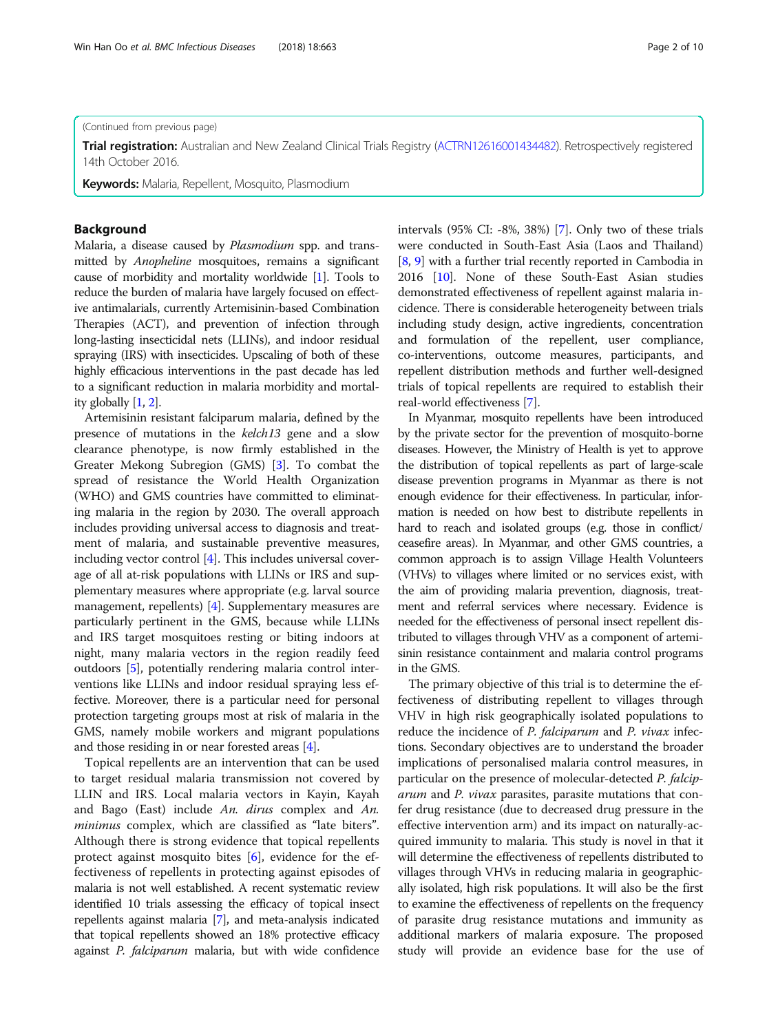(Continued from previous page)

**Trial registration:** Australian and New Zealand Clinical Trials Registry [\(ACTRN12616001434482\)](https://www.anzctr.org.au/Trial/Registration/TrialReview.aspx?id=371549). Retrospectively registered 14th October 2016.

Keywords: Malaria, Repellent, Mosquito, Plasmodium

## Background

Malaria, a disease caused by Plasmodium spp. and transmitted by Anopheline mosquitoes, remains a significant cause of morbidity and mortality worldwide [\[1](#page-8-0)]. Tools to reduce the burden of malaria have largely focused on effective antimalarials, currently Artemisinin-based Combination Therapies (ACT), and prevention of infection through long-lasting insecticidal nets (LLINs), and indoor residual spraying (IRS) with insecticides. Upscaling of both of these highly efficacious interventions in the past decade has led to a significant reduction in malaria morbidity and mortality globally [\[1](#page-8-0), [2](#page-8-0)].

Artemisinin resistant falciparum malaria, defined by the presence of mutations in the kelch13 gene and a slow clearance phenotype, is now firmly established in the Greater Mekong Subregion (GMS) [\[3](#page-8-0)]. To combat the spread of resistance the World Health Organization (WHO) and GMS countries have committed to eliminating malaria in the region by 2030. The overall approach includes providing universal access to diagnosis and treatment of malaria, and sustainable preventive measures, including vector control [[4\]](#page-8-0). This includes universal coverage of all at-risk populations with LLINs or IRS and supplementary measures where appropriate (e.g. larval source management, repellents) [[4](#page-8-0)]. Supplementary measures are particularly pertinent in the GMS, because while LLINs and IRS target mosquitoes resting or biting indoors at night, many malaria vectors in the region readily feed outdoors [[5](#page-8-0)], potentially rendering malaria control interventions like LLINs and indoor residual spraying less effective. Moreover, there is a particular need for personal protection targeting groups most at risk of malaria in the GMS, namely mobile workers and migrant populations and those residing in or near forested areas [[4\]](#page-8-0).

Topical repellents are an intervention that can be used to target residual malaria transmission not covered by LLIN and IRS. Local malaria vectors in Kayin, Kayah and Bago (East) include An. dirus complex and An. minimus complex, which are classified as "late biters". Although there is strong evidence that topical repellents protect against mosquito bites [\[6](#page-8-0)], evidence for the effectiveness of repellents in protecting against episodes of malaria is not well established. A recent systematic review identified 10 trials assessing the efficacy of topical insect repellents against malaria [[7](#page-8-0)], and meta-analysis indicated that topical repellents showed an 18% protective efficacy against P. falciparum malaria, but with wide confidence

intervals (95% CI: -8%, 38%) [[7\]](#page-8-0). Only two of these trials were conducted in South-East Asia (Laos and Thailand) [[8,](#page-8-0) [9](#page-8-0)] with a further trial recently reported in Cambodia in 2016 [[10](#page-8-0)]. None of these South-East Asian studies demonstrated effectiveness of repellent against malaria incidence. There is considerable heterogeneity between trials including study design, active ingredients, concentration and formulation of the repellent, user compliance, co-interventions, outcome measures, participants, and repellent distribution methods and further well-designed trials of topical repellents are required to establish their real-world effectiveness [[7](#page-8-0)].

In Myanmar, mosquito repellents have been introduced by the private sector for the prevention of mosquito-borne diseases. However, the Ministry of Health is yet to approve the distribution of topical repellents as part of large-scale disease prevention programs in Myanmar as there is not enough evidence for their effectiveness. In particular, information is needed on how best to distribute repellents in hard to reach and isolated groups (e.g. those in conflict/ ceasefire areas). In Myanmar, and other GMS countries, a common approach is to assign Village Health Volunteers (VHVs) to villages where limited or no services exist, with the aim of providing malaria prevention, diagnosis, treatment and referral services where necessary. Evidence is needed for the effectiveness of personal insect repellent distributed to villages through VHV as a component of artemisinin resistance containment and malaria control programs in the GMS.

The primary objective of this trial is to determine the effectiveness of distributing repellent to villages through VHV in high risk geographically isolated populations to reduce the incidence of *P. falciparum* and *P. vivax* infections. Secondary objectives are to understand the broader implications of personalised malaria control measures, in particular on the presence of molecular-detected P. falciparum and P. vivax parasites, parasite mutations that confer drug resistance (due to decreased drug pressure in the effective intervention arm) and its impact on naturally-acquired immunity to malaria. This study is novel in that it will determine the effectiveness of repellents distributed to villages through VHVs in reducing malaria in geographically isolated, high risk populations. It will also be the first to examine the effectiveness of repellents on the frequency of parasite drug resistance mutations and immunity as additional markers of malaria exposure. The proposed study will provide an evidence base for the use of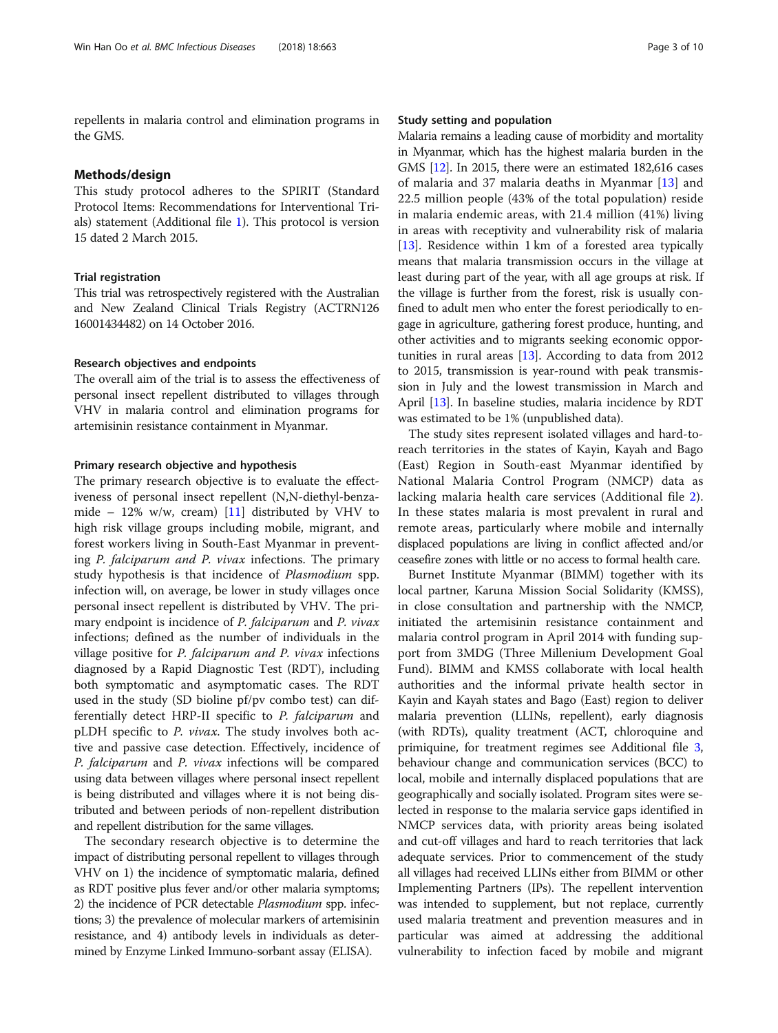repellents in malaria control and elimination programs in the GMS.

#### Methods/design

This study protocol adheres to the SPIRIT (Standard Protocol Items: Recommendations for Interventional Trials) statement (Additional file [1](#page-8-0)). This protocol is version 15 dated 2 March 2015.

## Trial registration

This trial was retrospectively registered with the Australian and New Zealand Clinical Trials Registry (ACTRN126 16001434482) on 14 October 2016.

## Research objectives and endpoints

The overall aim of the trial is to assess the effectiveness of personal insect repellent distributed to villages through VHV in malaria control and elimination programs for artemisinin resistance containment in Myanmar.

## Primary research objective and hypothesis

The primary research objective is to evaluate the effectiveness of personal insect repellent (N,N-diethyl-benza-mide – 12% w/w, cream) [[11\]](#page-9-0) distributed by VHV to high risk village groups including mobile, migrant, and forest workers living in South-East Myanmar in preventing P. falciparum and P. vivax infections. The primary study hypothesis is that incidence of Plasmodium spp. infection will, on average, be lower in study villages once personal insect repellent is distributed by VHV. The primary endpoint is incidence of *P. falciparum* and *P. vivax* infections; defined as the number of individuals in the village positive for P. falciparum and P. vivax infections diagnosed by a Rapid Diagnostic Test (RDT), including both symptomatic and asymptomatic cases. The RDT used in the study (SD bioline pf/pv combo test) can differentially detect HRP-II specific to P. falciparum and pLDH specific to P. vivax. The study involves both active and passive case detection. Effectively, incidence of P. falciparum and P. vivax infections will be compared using data between villages where personal insect repellent is being distributed and villages where it is not being distributed and between periods of non-repellent distribution and repellent distribution for the same villages.

The secondary research objective is to determine the impact of distributing personal repellent to villages through VHV on 1) the incidence of symptomatic malaria, defined as RDT positive plus fever and/or other malaria symptoms; 2) the incidence of PCR detectable *Plasmodium* spp. infections; 3) the prevalence of molecular markers of artemisinin resistance, and 4) antibody levels in individuals as determined by Enzyme Linked Immuno-sorbant assay (ELISA).

## Study setting and population

Malaria remains a leading cause of morbidity and mortality in Myanmar, which has the highest malaria burden in the GMS [\[12](#page-9-0)]. In 2015, there were an estimated 182,616 cases of malaria and 37 malaria deaths in Myanmar [[13\]](#page-9-0) and 22.5 million people (43% of the total population) reside in malaria endemic areas, with 21.4 million (41%) living in areas with receptivity and vulnerability risk of malaria [[13](#page-9-0)]. Residence within 1 km of a forested area typically means that malaria transmission occurs in the village at least during part of the year, with all age groups at risk. If the village is further from the forest, risk is usually confined to adult men who enter the forest periodically to engage in agriculture, gathering forest produce, hunting, and other activities and to migrants seeking economic opportunities in rural areas [[13](#page-9-0)]. According to data from 2012 to 2015, transmission is year-round with peak transmission in July and the lowest transmission in March and April [[13\]](#page-9-0). In baseline studies, malaria incidence by RDT was estimated to be 1% (unpublished data).

The study sites represent isolated villages and hard-toreach territories in the states of Kayin, Kayah and Bago (East) Region in South-east Myanmar identified by National Malaria Control Program (NMCP) data as lacking malaria health care services (Additional file [2](#page-8-0)). In these states malaria is most prevalent in rural and remote areas, particularly where mobile and internally displaced populations are living in conflict affected and/or ceasefire zones with little or no access to formal health care.

Burnet Institute Myanmar (BIMM) together with its local partner, Karuna Mission Social Solidarity (KMSS), in close consultation and partnership with the NMCP, initiated the artemisinin resistance containment and malaria control program in April 2014 with funding support from 3MDG (Three Millenium Development Goal Fund). BIMM and KMSS collaborate with local health authorities and the informal private health sector in Kayin and Kayah states and Bago (East) region to deliver malaria prevention (LLINs, repellent), early diagnosis (with RDTs), quality treatment (ACT, chloroquine and primiquine, for treatment regimes see Additional file [3](#page-8-0), behaviour change and communication services (BCC) to local, mobile and internally displaced populations that are geographically and socially isolated. Program sites were selected in response to the malaria service gaps identified in NMCP services data, with priority areas being isolated and cut-off villages and hard to reach territories that lack adequate services. Prior to commencement of the study all villages had received LLINs either from BIMM or other Implementing Partners (IPs). The repellent intervention was intended to supplement, but not replace, currently used malaria treatment and prevention measures and in particular was aimed at addressing the additional vulnerability to infection faced by mobile and migrant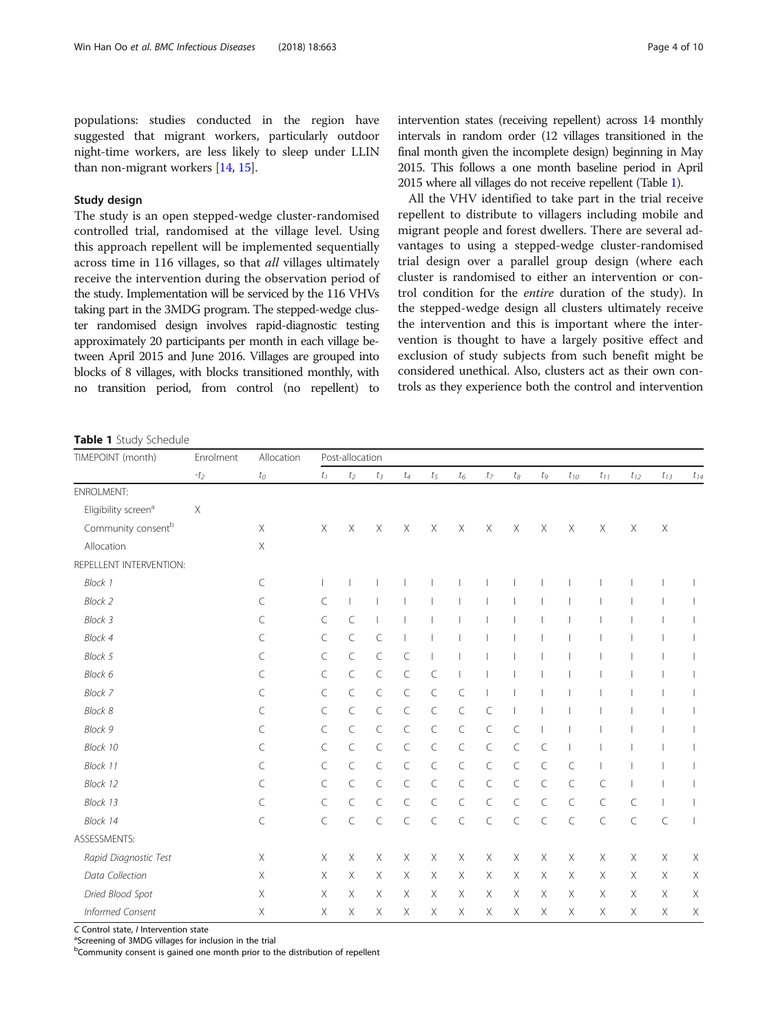<span id="page-3-0"></span>populations: studies conducted in the region have suggested that migrant workers, particularly outdoor night-time workers, are less likely to sleep under LLIN than non-migrant workers [\[14,](#page-9-0) [15](#page-9-0)].

## Study design

The study is an open stepped-wedge cluster-randomised controlled trial, randomised at the village level. Using this approach repellent will be implemented sequentially across time in 116 villages, so that all villages ultimately receive the intervention during the observation period of the study. Implementation will be serviced by the 116 VHVs taking part in the 3MDG program. The stepped-wedge cluster randomised design involves rapid-diagnostic testing approximately 20 participants per month in each village between April 2015 and June 2016. Villages are grouped into blocks of 8 villages, with blocks transitioned monthly, with no transition period, from control (no repellent) to intervention states (receiving repellent) across 14 monthly intervals in random order (12 villages transitioned in the final month given the incomplete design) beginning in May 2015. This follows a one month baseline period in April 2015 where all villages do not receive repellent (Table 1).

All the VHV identified to take part in the trial receive repellent to distribute to villagers including mobile and migrant people and forest dwellers. There are several advantages to using a stepped-wedge cluster-randomised trial design over a parallel group design (where each cluster is randomised to either an intervention or control condition for the entire duration of the study). In the stepped-wedge design all clusters ultimately receive the intervention and this is important where the intervention is thought to have a largely positive effect and exclusion of study subjects from such benefit might be considered unethical. Also, clusters act as their own controls as they experience both the control and intervention

## Table 1 Study Schedule

| TIMEPOINT (month)               | Enrolment   | Allocation<br>$t_O$ | Post-allocation       |           |             |             |                           |           |                       |                           |                           |                           |           |             |           |             |
|---------------------------------|-------------|---------------------|-----------------------|-----------|-------------|-------------|---------------------------|-----------|-----------------------|---------------------------|---------------------------|---------------------------|-----------|-------------|-----------|-------------|
|                                 | $-t_2$      |                     | $t_1$                 | $t_2$     | $t_3$       | $t_4$       | $t_{5}$                   | $t_{6}$   | t <sub>7</sub>        | $t_{\mathcal{S}}$         | $t_{9}$                   | $t_{10}$                  | $t_{11}$  | $t_{12}$    | $t_{13}$  | $t_{14}$    |
| <b>ENROLMENT:</b>               |             |                     |                       |           |             |             |                           |           |                       |                           |                           |                           |           |             |           |             |
| Eligibility screen <sup>a</sup> | $\mathsf X$ |                     |                       |           |             |             |                           |           |                       |                           |                           |                           |           |             |           |             |
| Community consent <sup>b</sup>  |             | $\mathsf X$         | $\boldsymbol{\times}$ | $\times$  | $\mathsf X$ | $\mathsf X$ | $\boldsymbol{\mathsf{X}}$ | $\times$  | $\mathsf X$           | $\boldsymbol{\mathsf{X}}$ | $\boldsymbol{\mathsf{X}}$ | $\times$                  | $\times$  | $\mathsf X$ | $\times$  |             |
| Allocation                      |             | $\mathsf X$         |                       |           |             |             |                           |           |                       |                           |                           |                           |           |             |           |             |
| REPELLENT INTERVENTION:         |             |                     |                       |           |             |             |                           |           |                       |                           |                           |                           |           |             |           |             |
| Block 1                         |             | $\subset$           |                       |           |             |             |                           |           |                       |                           |                           |                           |           |             |           |             |
| <b>Block 2</b>                  |             | C                   | C                     |           |             |             |                           |           |                       |                           |                           |                           |           |             |           |             |
| <b>Block 3</b>                  |             | C                   | C                     | C         |             |             |                           |           |                       |                           |                           |                           |           |             |           |             |
| Block 4                         |             | C                   | C                     | C         |             |             |                           |           |                       |                           |                           |                           |           |             |           |             |
| <b>Block 5</b>                  |             | C                   | C                     | C         | C           | C           |                           |           |                       |                           |                           |                           |           |             |           |             |
| Block 6                         |             | C                   | C                     | $\subset$ | C           | C           | C                         |           |                       |                           |                           |                           |           |             |           |             |
| <b>Block 7</b>                  |             | C                   | C                     | C         | C           | C           | C                         | C         |                       |                           |                           |                           |           |             |           |             |
| <b>Block 8</b>                  |             | C                   | C                     | C         | C           | C           | C                         | C         | C                     |                           |                           |                           |           |             |           |             |
| Block 9                         |             | $\subset$           | C                     | C         | C           | C           | C                         | $\subset$ | C                     | C                         |                           |                           |           |             |           |             |
| Block 10                        |             | C                   | C                     | C         | C           | C           | $\subset$                 | C         | C                     | C                         | C                         |                           |           |             |           |             |
| Block 11                        |             | C                   | C                     | C         | C           | C           | C                         | C         | C                     | C                         | C                         | C                         |           |             |           |             |
| Block 12                        |             | C                   | C                     | C         | C           | C           | C                         | С         | C                     | C                         | C                         | C                         | C         |             |           |             |
| Block 13                        |             | C                   | C                     | C         | C           | C           | C                         | C         | C                     | C                         | C                         | C                         | C         | C           |           |             |
| Block 14                        |             | C                   | C                     | C         | $\subset$   | C           | $\subset$                 | $\subset$ | C                     | $\subset$                 | C                         | $\subset$                 | $\subset$ | $\subset$   | $\subset$ |             |
| ASSESSMENTS:                    |             |                     |                       |           |             |             |                           |           |                       |                           |                           |                           |           |             |           |             |
| Rapid Diagnostic Test           |             | X                   | Χ                     | Χ         | Χ           | $\times$    | $\times$                  | $\times$  | Χ                     | $\boldsymbol{\mathsf{X}}$ | X                         | X                         | X         | X           | $\times$  | Χ           |
| Data Collection                 |             | $\mathsf X$         | $\times$              | Χ         | X           | Χ           | $\times$                  | Χ         | Χ                     | $\boldsymbol{\mathsf{X}}$ | X                         | X                         | Χ         | X           | Χ         | $\mathsf X$ |
| Dried Blood Spot                |             | $\mathsf X$         | $\times$              | X         | X           | $\times$    | $\mathsf X$               | Χ         | $\boldsymbol{\times}$ | $\mathsf X$               | $\boldsymbol{\mathsf{X}}$ | $\boldsymbol{\mathsf{X}}$ | Χ         | X           | Χ         | Χ           |
| Informed Consent                |             | $\times$            | X                     | X         | X           | Χ           | Χ                         | Χ         | Χ                     | $\boldsymbol{\times}$     | Χ                         | X                         | X         | X           | X         | $\mathsf X$ |

C Control state, I Intervention state

<sup>a</sup>Screening of 3MDG villages for inclusion in the trial

<sup>b</sup>Community consent is gained one month prior to the distribution of repellent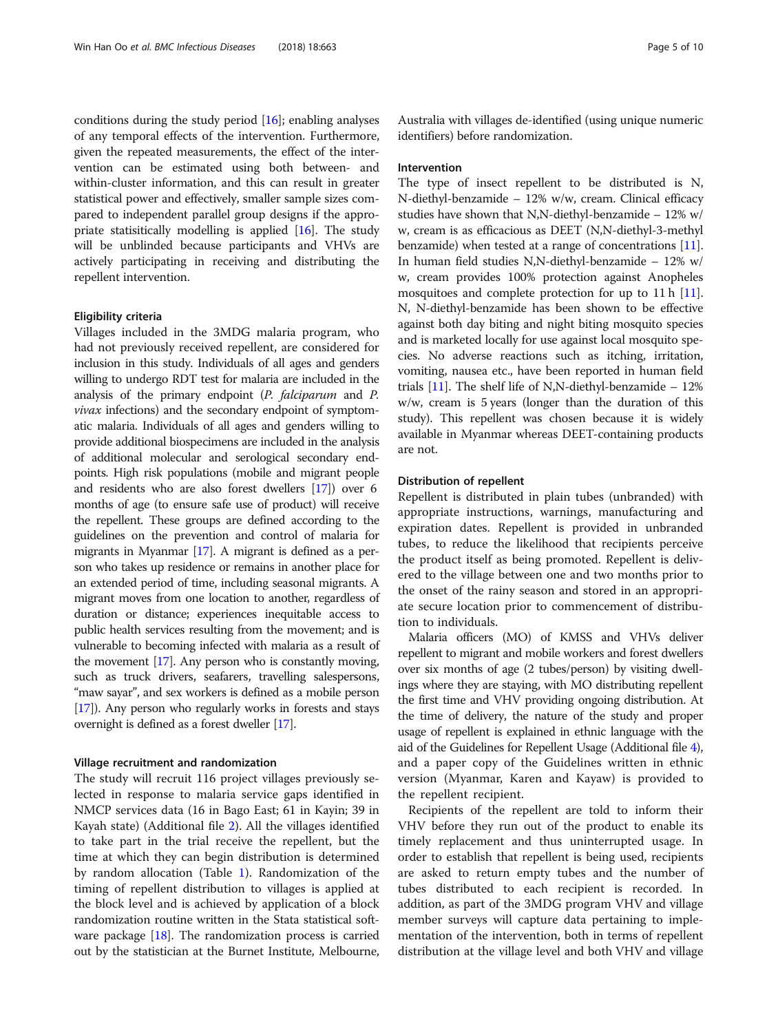conditions during the study period [\[16\]](#page-9-0); enabling analyses of any temporal effects of the intervention. Furthermore, given the repeated measurements, the effect of the intervention can be estimated using both between- and within-cluster information, and this can result in greater statistical power and effectively, smaller sample sizes compared to independent parallel group designs if the appropriate statisitically modelling is applied [\[16](#page-9-0)]. The study will be unblinded because participants and VHVs are actively participating in receiving and distributing the repellent intervention.

## Eligibility criteria

Villages included in the 3MDG malaria program, who had not previously received repellent, are considered for inclusion in this study. Individuals of all ages and genders willing to undergo RDT test for malaria are included in the analysis of the primary endpoint (P. falciparum and P. vivax infections) and the secondary endpoint of symptomatic malaria. Individuals of all ages and genders willing to provide additional biospecimens are included in the analysis of additional molecular and serological secondary endpoints. High risk populations (mobile and migrant people and residents who are also forest dwellers [\[17\]](#page-9-0)) over 6 months of age (to ensure safe use of product) will receive the repellent. These groups are defined according to the guidelines on the prevention and control of malaria for migrants in Myanmar [[17](#page-9-0)]. A migrant is defined as a person who takes up residence or remains in another place for an extended period of time, including seasonal migrants. A migrant moves from one location to another, regardless of duration or distance; experiences inequitable access to public health services resulting from the movement; and is vulnerable to becoming infected with malaria as a result of the movement [\[17\]](#page-9-0). Any person who is constantly moving, such as truck drivers, seafarers, travelling salespersons, "maw sayar", and sex workers is defined as a mobile person [[17](#page-9-0)]). Any person who regularly works in forests and stays overnight is defined as a forest dweller [\[17\]](#page-9-0).

## Village recruitment and randomization

The study will recruit 116 project villages previously selected in response to malaria service gaps identified in NMCP services data (16 in Bago East; 61 in Kayin; 39 in Kayah state) (Additional file [2\)](#page-8-0). All the villages identified to take part in the trial receive the repellent, but the time at which they can begin distribution is determined by random allocation (Table [1\)](#page-3-0). Randomization of the timing of repellent distribution to villages is applied at the block level and is achieved by application of a block randomization routine written in the Stata statistical software package [\[18\]](#page-9-0). The randomization process is carried out by the statistician at the Burnet Institute, Melbourne, Australia with villages de-identified (using unique numeric identifiers) before randomization.

## Intervention

The type of insect repellent to be distributed is N, N-diethyl-benzamide – 12% w/w, cream. Clinical efficacy studies have shown that N,N-diethyl-benzamide – 12% w/ w, cream is as efficacious as DEET (N,N-diethyl-3-methyl benzamide) when tested at a range of concentrations [[11](#page-9-0)]. In human field studies N,N-diethyl-benzamide – 12% w/ w, cream provides 100% protection against Anopheles mosquitoes and complete protection for up to 11 h [[11](#page-9-0)]. N, N-diethyl-benzamide has been shown to be effective against both day biting and night biting mosquito species and is marketed locally for use against local mosquito species. No adverse reactions such as itching, irritation, vomiting, nausea etc., have been reported in human field trials  $[11]$  $[11]$  $[11]$ . The shelf life of N,N-diethyl-benzamide – 12% w/w, cream is 5 years (longer than the duration of this study). This repellent was chosen because it is widely available in Myanmar whereas DEET-containing products are not.

## Distribution of repellent

Repellent is distributed in plain tubes (unbranded) with appropriate instructions, warnings, manufacturing and expiration dates. Repellent is provided in unbranded tubes, to reduce the likelihood that recipients perceive the product itself as being promoted. Repellent is delivered to the village between one and two months prior to the onset of the rainy season and stored in an appropriate secure location prior to commencement of distribution to individuals.

Malaria officers (MO) of KMSS and VHVs deliver repellent to migrant and mobile workers and forest dwellers over six months of age (2 tubes/person) by visiting dwellings where they are staying, with MO distributing repellent the first time and VHV providing ongoing distribution. At the time of delivery, the nature of the study and proper usage of repellent is explained in ethnic language with the aid of the Guidelines for Repellent Usage (Additional file [4](#page-8-0)), and a paper copy of the Guidelines written in ethnic version (Myanmar, Karen and Kayaw) is provided to the repellent recipient.

Recipients of the repellent are told to inform their VHV before they run out of the product to enable its timely replacement and thus uninterrupted usage. In order to establish that repellent is being used, recipients are asked to return empty tubes and the number of tubes distributed to each recipient is recorded. In addition, as part of the 3MDG program VHV and village member surveys will capture data pertaining to implementation of the intervention, both in terms of repellent distribution at the village level and both VHV and village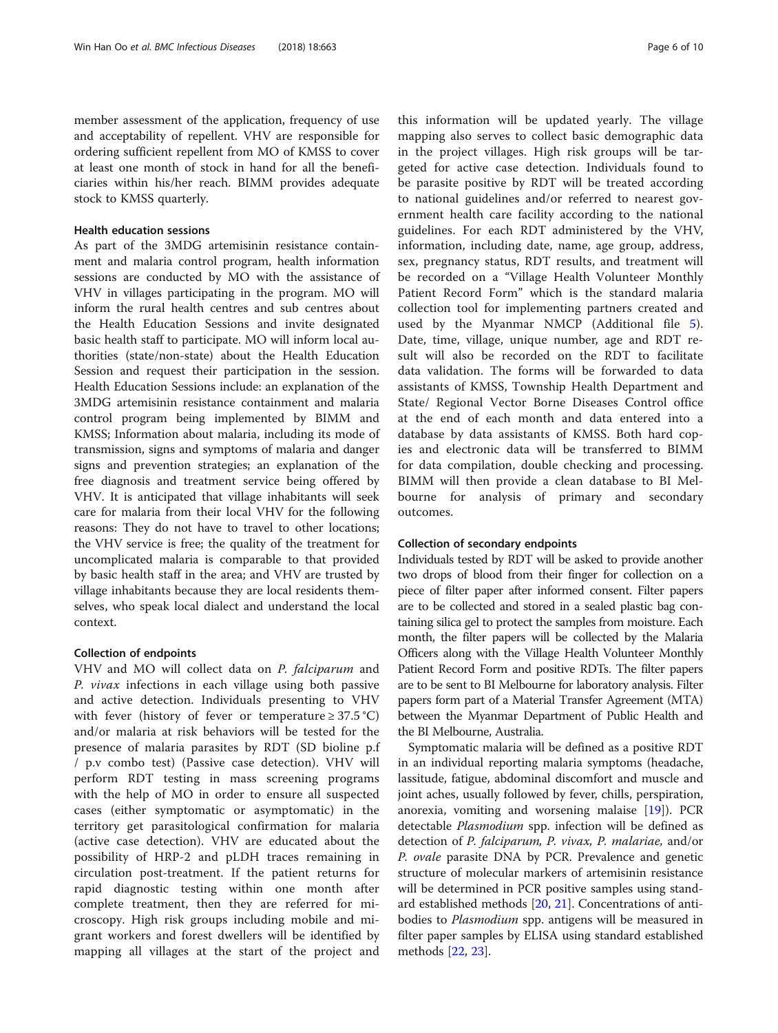member assessment of the application, frequency of use and acceptability of repellent. VHV are responsible for ordering sufficient repellent from MO of KMSS to cover at least one month of stock in hand for all the beneficiaries within his/her reach. BIMM provides adequate stock to KMSS quarterly.

## Health education sessions

As part of the 3MDG artemisinin resistance containment and malaria control program, health information sessions are conducted by MO with the assistance of VHV in villages participating in the program. MO will inform the rural health centres and sub centres about the Health Education Sessions and invite designated basic health staff to participate. MO will inform local authorities (state/non-state) about the Health Education Session and request their participation in the session. Health Education Sessions include: an explanation of the 3MDG artemisinin resistance containment and malaria control program being implemented by BIMM and KMSS; Information about malaria, including its mode of transmission, signs and symptoms of malaria and danger signs and prevention strategies; an explanation of the free diagnosis and treatment service being offered by VHV. It is anticipated that village inhabitants will seek care for malaria from their local VHV for the following reasons: They do not have to travel to other locations; the VHV service is free; the quality of the treatment for uncomplicated malaria is comparable to that provided by basic health staff in the area; and VHV are trusted by village inhabitants because they are local residents themselves, who speak local dialect and understand the local context.

## Collection of endpoints

VHV and MO will collect data on P. falciparum and P. vivax infections in each village using both passive and active detection. Individuals presenting to VHV with fever (history of fever or temperature  $\geq 37.5$  °C) and/or malaria at risk behaviors will be tested for the presence of malaria parasites by RDT (SD bioline p.f / p.v combo test) (Passive case detection). VHV will perform RDT testing in mass screening programs with the help of MO in order to ensure all suspected cases (either symptomatic or asymptomatic) in the territory get parasitological confirmation for malaria (active case detection). VHV are educated about the possibility of HRP-2 and pLDH traces remaining in circulation post-treatment. If the patient returns for rapid diagnostic testing within one month after complete treatment, then they are referred for microscopy. High risk groups including mobile and migrant workers and forest dwellers will be identified by mapping all villages at the start of the project and

this information will be updated yearly. The village mapping also serves to collect basic demographic data in the project villages. High risk groups will be targeted for active case detection. Individuals found to be parasite positive by RDT will be treated according to national guidelines and/or referred to nearest government health care facility according to the national guidelines. For each RDT administered by the VHV, information, including date, name, age group, address, sex, pregnancy status, RDT results, and treatment will be recorded on a "Village Health Volunteer Monthly Patient Record Form" which is the standard malaria collection tool for implementing partners created and used by the Myanmar NMCP (Additional file [5](#page-8-0)). Date, time, village, unique number, age and RDT result will also be recorded on the RDT to facilitate data validation. The forms will be forwarded to data assistants of KMSS, Township Health Department and State/ Regional Vector Borne Diseases Control office at the end of each month and data entered into a database by data assistants of KMSS. Both hard copies and electronic data will be transferred to BIMM for data compilation, double checking and processing. BIMM will then provide a clean database to BI Melbourne for analysis of primary and secondary outcomes.

## Collection of secondary endpoints

Individuals tested by RDT will be asked to provide another two drops of blood from their finger for collection on a piece of filter paper after informed consent. Filter papers are to be collected and stored in a sealed plastic bag containing silica gel to protect the samples from moisture. Each month, the filter papers will be collected by the Malaria Officers along with the Village Health Volunteer Monthly Patient Record Form and positive RDTs. The filter papers are to be sent to BI Melbourne for laboratory analysis. Filter papers form part of a Material Transfer Agreement (MTA) between the Myanmar Department of Public Health and the BI Melbourne, Australia.

Symptomatic malaria will be defined as a positive RDT in an individual reporting malaria symptoms (headache, lassitude, fatigue, abdominal discomfort and muscle and joint aches, usually followed by fever, chills, perspiration, anorexia, vomiting and worsening malaise [\[19](#page-9-0)]). PCR detectable Plasmodium spp. infection will be defined as detection of P. falciparum, P. vivax, P. malariae, and/or P. ovale parasite DNA by PCR. Prevalence and genetic structure of molecular markers of artemisinin resistance will be determined in PCR positive samples using standard established methods [[20,](#page-9-0) [21\]](#page-9-0). Concentrations of antibodies to Plasmodium spp. antigens will be measured in filter paper samples by ELISA using standard established methods [[22,](#page-9-0) [23\]](#page-9-0).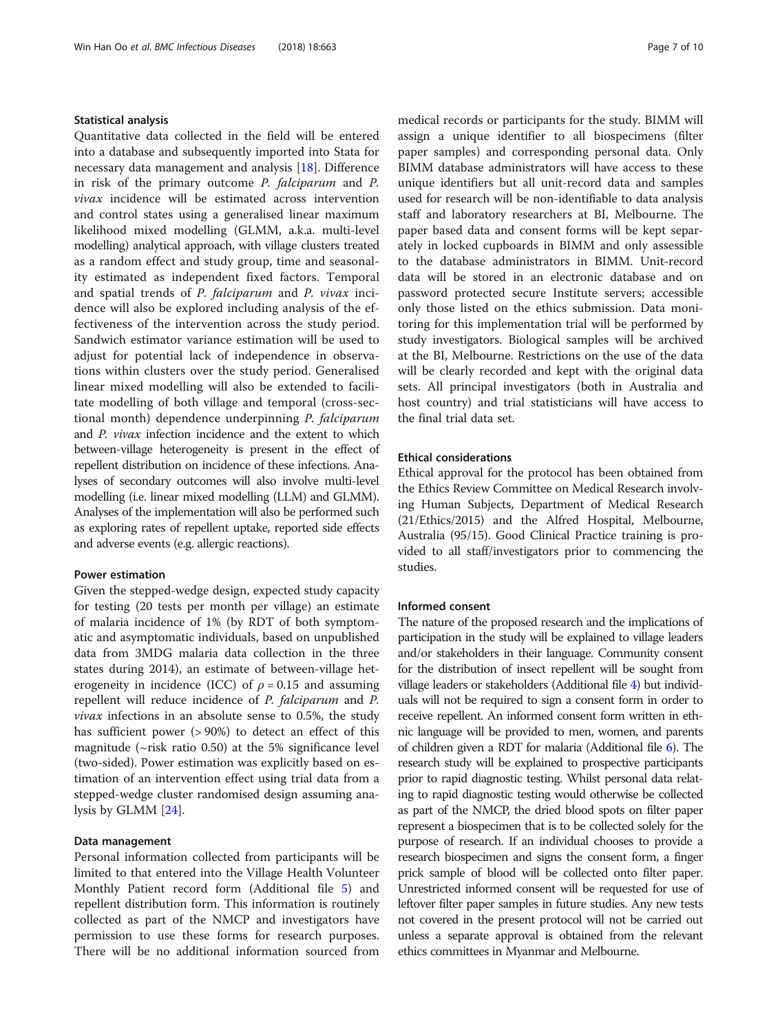## Statistical analysis

Quantitative data collected in the field will be entered into a database and subsequently imported into Stata for necessary data management and analysis [\[18](#page-9-0)]. Difference in risk of the primary outcome P. falciparum and P. vivax incidence will be estimated across intervention and control states using a generalised linear maximum likelihood mixed modelling (GLMM, a.k.a. multi-level modelling) analytical approach, with village clusters treated as a random effect and study group, time and seasonality estimated as independent fixed factors. Temporal and spatial trends of P. falciparum and P. vivax incidence will also be explored including analysis of the effectiveness of the intervention across the study period. Sandwich estimator variance estimation will be used to adjust for potential lack of independence in observations within clusters over the study period. Generalised linear mixed modelling will also be extended to facilitate modelling of both village and temporal (cross-sectional month) dependence underpinning P. falciparum and P. vivax infection incidence and the extent to which between-village heterogeneity is present in the effect of repellent distribution on incidence of these infections. Analyses of secondary outcomes will also involve multi-level modelling (i.e. linear mixed modelling (LLM) and GLMM). Analyses of the implementation will also be performed such as exploring rates of repellent uptake, reported side effects and adverse events (e.g. allergic reactions).

## Power estimation

Given the stepped-wedge design, expected study capacity for testing (20 tests per month per village) an estimate of malaria incidence of 1% (by RDT of both symptomatic and asymptomatic individuals, based on unpublished data from 3MDG malaria data collection in the three states during 2014), an estimate of between-village heterogeneity in incidence (ICC) of  $\rho = 0.15$  and assuming repellent will reduce incidence of P. falciparum and P. *vivax* infections in an absolute sense to  $0.5\%$ , the study has sufficient power (> 90%) to detect an effect of this magnitude ( $\sim$ risk ratio 0.50) at the 5% significance level (two-sided). Power estimation was explicitly based on estimation of an intervention effect using trial data from a stepped-wedge cluster randomised design assuming analysis by GLMM [\[24](#page-9-0)].

#### Data management

Personal information collected from participants will be limited to that entered into the Village Health Volunteer Monthly Patient record form (Additional file [5](#page-8-0)) and repellent distribution form. This information is routinely collected as part of the NMCP and investigators have permission to use these forms for research purposes. There will be no additional information sourced from medical records or participants for the study. BIMM will assign a unique identifier to all biospecimens (filter paper samples) and corresponding personal data. Only BIMM database administrators will have access to these unique identifiers but all unit-record data and samples used for research will be non-identifiable to data analysis staff and laboratory researchers at BI, Melbourne. The paper based data and consent forms will be kept separately in locked cupboards in BIMM and only assessible to the database administrators in BIMM. Unit-record data will be stored in an electronic database and on password protected secure Institute servers; accessible only those listed on the ethics submission. Data monitoring for this implementation trial will be performed by study investigators. Biological samples will be archived at the BI, Melbourne. Restrictions on the use of the data will be clearly recorded and kept with the original data sets. All principal investigators (both in Australia and host country) and trial statisticians will have access to the final trial data set.

#### Ethical considerations

Ethical approval for the protocol has been obtained from the Ethics Review Committee on Medical Research involving Human Subjects, Department of Medical Research (21/Ethics/2015) and the Alfred Hospital, Melbourne, Australia (95/15). Good Clinical Practice training is provided to all staff/investigators prior to commencing the studies.

## Informed consent

The nature of the proposed research and the implications of participation in the study will be explained to village leaders and/or stakeholders in their language. Community consent for the distribution of insect repellent will be sought from village leaders or stakeholders (Additional file [4](#page-8-0)) but individuals will not be required to sign a consent form in order to receive repellent. An informed consent form written in ethnic language will be provided to men, women, and parents of children given a RDT for malaria (Additional file [6\)](#page-8-0). The research study will be explained to prospective participants prior to rapid diagnostic testing. Whilst personal data relating to rapid diagnostic testing would otherwise be collected as part of the NMCP, the dried blood spots on filter paper represent a biospecimen that is to be collected solely for the purpose of research. If an individual chooses to provide a research biospecimen and signs the consent form, a finger prick sample of blood will be collected onto filter paper. Unrestricted informed consent will be requested for use of leftover filter paper samples in future studies. Any new tests not covered in the present protocol will not be carried out unless a separate approval is obtained from the relevant ethics committees in Myanmar and Melbourne.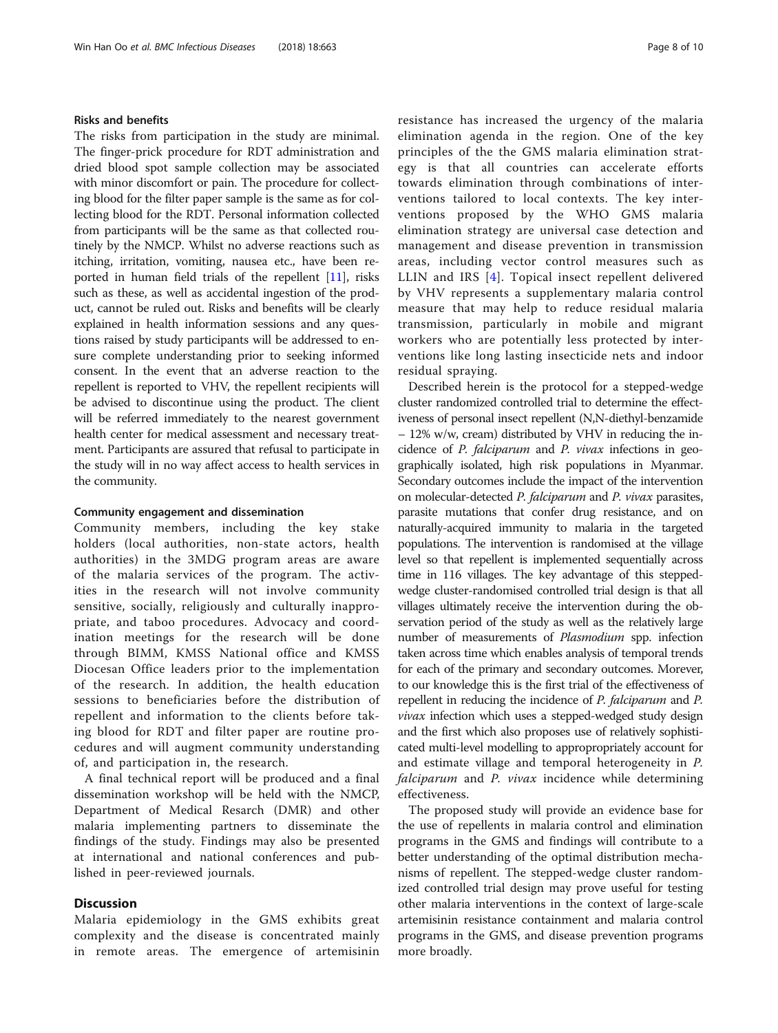## Risks and benefits

The risks from participation in the study are minimal. The finger-prick procedure for RDT administration and dried blood spot sample collection may be associated with minor discomfort or pain. The procedure for collecting blood for the filter paper sample is the same as for collecting blood for the RDT. Personal information collected from participants will be the same as that collected routinely by the NMCP. Whilst no adverse reactions such as itching, irritation, vomiting, nausea etc., have been reported in human field trials of the repellent [[11](#page-9-0)], risks such as these, as well as accidental ingestion of the product, cannot be ruled out. Risks and benefits will be clearly explained in health information sessions and any questions raised by study participants will be addressed to ensure complete understanding prior to seeking informed consent. In the event that an adverse reaction to the repellent is reported to VHV, the repellent recipients will be advised to discontinue using the product. The client will be referred immediately to the nearest government health center for medical assessment and necessary treatment. Participants are assured that refusal to participate in the study will in no way affect access to health services in the community.

#### Community engagement and dissemination

Community members, including the key stake holders (local authorities, non-state actors, health authorities) in the 3MDG program areas are aware of the malaria services of the program. The activities in the research will not involve community sensitive, socially, religiously and culturally inappropriate, and taboo procedures. Advocacy and coordination meetings for the research will be done through BIMM, KMSS National office and KMSS Diocesan Office leaders prior to the implementation of the research. In addition, the health education sessions to beneficiaries before the distribution of repellent and information to the clients before taking blood for RDT and filter paper are routine procedures and will augment community understanding of, and participation in, the research.

A final technical report will be produced and a final dissemination workshop will be held with the NMCP, Department of Medical Resarch (DMR) and other malaria implementing partners to disseminate the findings of the study. Findings may also be presented at international and national conferences and published in peer-reviewed journals.

## **Discussion**

Malaria epidemiology in the GMS exhibits great complexity and the disease is concentrated mainly in remote areas. The emergence of artemisinin resistance has increased the urgency of the malaria elimination agenda in the region. One of the key principles of the the GMS malaria elimination strategy is that all countries can accelerate efforts towards elimination through combinations of interventions tailored to local contexts. The key interventions proposed by the WHO GMS malaria elimination strategy are universal case detection and management and disease prevention in transmission areas, including vector control measures such as LLIN and IRS [[4](#page-8-0)]. Topical insect repellent delivered by VHV represents a supplementary malaria control measure that may help to reduce residual malaria transmission, particularly in mobile and migrant workers who are potentially less protected by interventions like long lasting insecticide nets and indoor residual spraying.

Described herein is the protocol for a stepped-wedge cluster randomized controlled trial to determine the effectiveness of personal insect repellent (N,N-diethyl-benzamide – 12% w/w, cream) distributed by VHV in reducing the incidence of P. falciparum and P. vivax infections in geographically isolated, high risk populations in Myanmar. Secondary outcomes include the impact of the intervention on molecular-detected P. falciparum and P. vivax parasites, parasite mutations that confer drug resistance, and on naturally-acquired immunity to malaria in the targeted populations. The intervention is randomised at the village level so that repellent is implemented sequentially across time in 116 villages. The key advantage of this steppedwedge cluster-randomised controlled trial design is that all villages ultimately receive the intervention during the observation period of the study as well as the relatively large number of measurements of Plasmodium spp. infection taken across time which enables analysis of temporal trends for each of the primary and secondary outcomes. Morever, to our knowledge this is the first trial of the effectiveness of repellent in reducing the incidence of P. falciparum and P. vivax infection which uses a stepped-wedged study design and the first which also proposes use of relatively sophisticated multi-level modelling to appropropriately account for and estimate village and temporal heterogeneity in P. falciparum and P. vivax incidence while determining effectiveness.

The proposed study will provide an evidence base for the use of repellents in malaria control and elimination programs in the GMS and findings will contribute to a better understanding of the optimal distribution mechanisms of repellent. The stepped-wedge cluster randomized controlled trial design may prove useful for testing other malaria interventions in the context of large-scale artemisinin resistance containment and malaria control programs in the GMS, and disease prevention programs more broadly.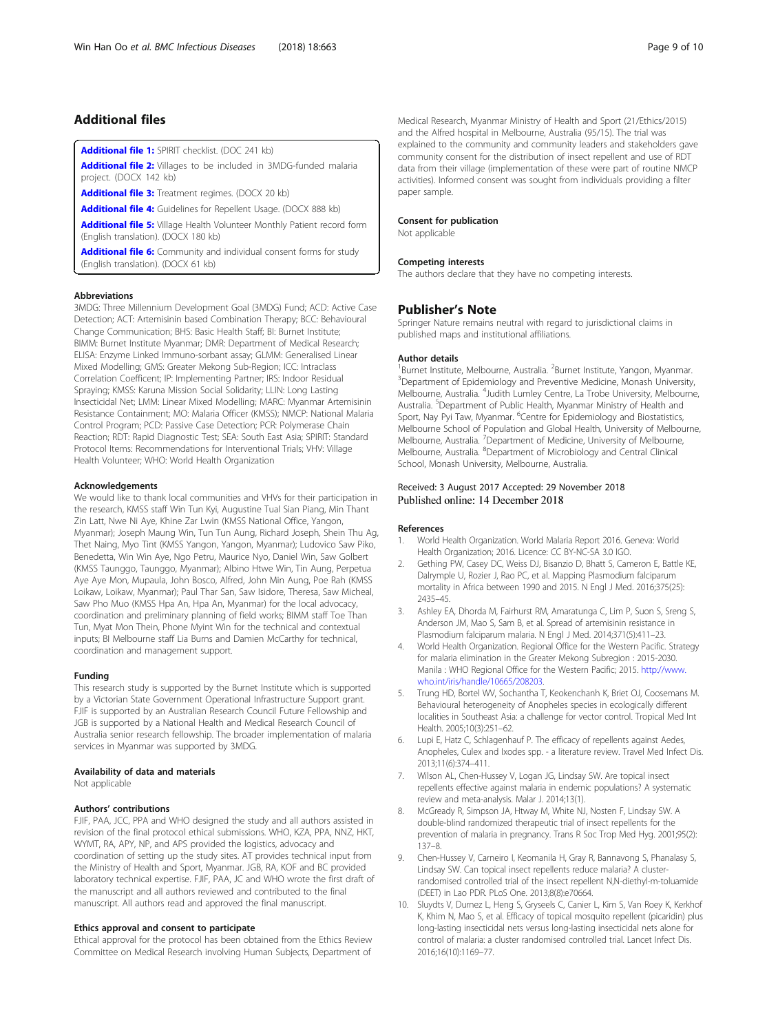## <span id="page-8-0"></span>Additional files

[Additional file 1:](https://doi.org/10.1186/s12879-018-3566-y) SPIRIT checklist. (DOC 241 kb)

[Additional file 2:](https://doi.org/10.1186/s12879-018-3566-y) Villages to be included in 3MDG-funded malaria project. (DOCX 142 kb)

[Additional file 3:](https://doi.org/10.1186/s12879-018-3566-y) Treatment regimes. (DOCX 20 kb)

[Additional file 4:](https://doi.org/10.1186/s12879-018-3566-y) Guidelines for Repellent Usage. (DOCX 888 kb)

[Additional file 5:](https://doi.org/10.1186/s12879-018-3566-y) Village Health Volunteer Monthly Patient record form (English translation). (DOCX 180 kb)

**[Additional file 6:](https://doi.org/10.1186/s12879-018-3566-y)** Community and individual consent forms for study (English translation). (DOCX 61 kb)

#### Abbreviations

3MDG: Three Millennium Development Goal (3MDG) Fund; ACD: Active Case Detection; ACT: Artemisinin based Combination Therapy; BCC: Behavioural Change Communication; BHS: Basic Health Staff; BI: Burnet Institute; BIMM: Burnet Institute Myanmar; DMR: Department of Medical Research; ELISA: Enzyme Linked Immuno-sorbant assay; GLMM: Generalised Linear Mixed Modelling; GMS: Greater Mekong Sub-Region; ICC: Intraclass Correlation Coefficent; IP: Implementing Partner; IRS: Indoor Residual Spraying; KMSS: Karuna Mission Social Solidarity; LLIN: Long Lasting Insecticidal Net; LMM: Linear Mixed Modelling; MARC: Myanmar Artemisinin Resistance Containment; MO: Malaria Officer (KMSS); NMCP: National Malaria Control Program; PCD: Passive Case Detection; PCR: Polymerase Chain Reaction; RDT: Rapid Diagnostic Test; SEA: South East Asia; SPIRIT: Standard Protocol Items: Recommendations for Interventional Trials; VHV: Village Health Volunteer; WHO: World Health Organization

#### Acknowledgements

We would like to thank local communities and VHVs for their participation in the research, KMSS staff Win Tun Kyi, Augustine Tual Sian Piang, Min Thant Zin Latt, Nwe Ni Aye, Khine Zar Lwin (KMSS National Office, Yangon, Myanmar); Joseph Maung Win, Tun Tun Aung, Richard Joseph, Shein Thu Ag, Thet Naing, Myo Tint (KMSS Yangon, Yangon, Myanmar); Ludovico Saw Piko, Benedetta, Win Win Aye, Ngo Petru, Maurice Nyo, Daniel Win, Saw Golbert (KMSS Taunggo, Taunggo, Myanmar); Albino Htwe Win, Tin Aung, Perpetua Aye Aye Mon, Mupaula, John Bosco, Alfred, John Min Aung, Poe Rah (KMSS Loikaw, Loikaw, Myanmar); Paul Thar San, Saw Isidore, Theresa, Saw Micheal, Saw Pho Muo (KMSS Hpa An, Hpa An, Myanmar) for the local advocacy, coordination and preliminary planning of field works; BIMM staff Toe Than Tun, Myat Mon Thein, Phone Myint Win for the technical and contextual inputs; BI Melbourne staff Lia Burns and Damien McCarthy for technical, coordination and management support.

## Funding

This research study is supported by the Burnet Institute which is supported by a Victorian State Government Operational Infrastructure Support grant. FJIF is supported by an Australian Research Council Future Fellowship and JGB is supported by a National Health and Medical Research Council of Australia senior research fellowship. The broader implementation of malaria services in Myanmar was supported by 3MDG.

## Availability of data and materials

Not applicable

#### Authors' contributions

FJIF, PAA, JCC, PPA and WHO designed the study and all authors assisted in revision of the final protocol ethical submissions. WHO, KZA, PPA, NNZ, HKT, WYMT, RA, APY, NP, and APS provided the logistics, advocacy and coordination of setting up the study sites. AT provides technical input from the Ministry of Health and Sport, Myanmar. JGB, RA, KOF and BC provided laboratory technical expertise. FJIF, PAA, JC and WHO wrote the first draft of the manuscript and all authors reviewed and contributed to the final manuscript. All authors read and approved the final manuscript.

#### Ethics approval and consent to participate

Ethical approval for the protocol has been obtained from the Ethics Review Committee on Medical Research involving Human Subjects, Department of Medical Research, Myanmar Ministry of Health and Sport (21/Ethics/2015) and the Alfred hospital in Melbourne, Australia (95/15). The trial was explained to the community and community leaders and stakeholders gave community consent for the distribution of insect repellent and use of RDT data from their village (implementation of these were part of routine NMCP activities). Informed consent was sought from individuals providing a filter paper sample.

## Consent for publication

Not applicable

#### Competing interests

The authors declare that they have no competing interests.

## Publisher's Note

Springer Nature remains neutral with regard to jurisdictional claims in published maps and institutional affiliations.

#### Author details

<sup>1</sup>Burnet Institute, Melbourne, Australia. <sup>2</sup>Burnet Institute, Yangon, Myanmar.<br><sup>3</sup>Department of Enidemiology and Preventive Medicine, Monach University <sup>3</sup>Department of Epidemiology and Preventive Medicine, Monash University, Melbourne, Australia. <sup>4</sup>Judith Lumley Centre, La Trobe University, Melbourne, Australia. <sup>5</sup>Department of Public Health, Myanmar Ministry of Health and Sport, Nay Pyi Taw, Myanmar. <sup>6</sup>Centre for Epidemiology and Biostatistics, Melbourne School of Population and Global Health, University of Melbourne, Melbourne, Australia. <sup>7</sup>Department of Medicine, University of Melbourne, Melbourne, Australia. <sup>8</sup>Department of Microbiology and Central Clinical School, Monash University, Melbourne, Australia.

## Received: 3 August 2017 Accepted: 29 November 2018 Published online: 14 December 2018

#### References

- 1. World Health Organization. World Malaria Report 2016. Geneva: World Health Organization; 2016. Licence: CC BY-NC-SA 3.0 IGO.
- 2. Gething PW, Casey DC, Weiss DJ, Bisanzio D, Bhatt S, Cameron E, Battle KE, Dalrymple U, Rozier J, Rao PC, et al. Mapping Plasmodium falciparum mortality in Africa between 1990 and 2015. N Engl J Med. 2016;375(25): 2435–45.
- 3. Ashley EA, Dhorda M, Fairhurst RM, Amaratunga C, Lim P, Suon S, Sreng S, Anderson JM, Mao S, Sam B, et al. Spread of artemisinin resistance in Plasmodium falciparum malaria. N Engl J Med. 2014;371(5):411–23.
- 4. World Health Organization. Regional Office for the Western Pacific. Strategy for malaria elimination in the Greater Mekong Subregion : 2015-2030. Manila : WHO Regional Office for the Western Pacific; 2015. [http://www.](http://www.who.int/iris/handle/10665/208203) [who.int/iris/handle/10665/208203.](http://www.who.int/iris/handle/10665/208203)
- 5. Trung HD, Bortel WV, Sochantha T, Keokenchanh K, Briet OJ, Coosemans M. Behavioural heterogeneity of Anopheles species in ecologically different localities in Southeast Asia: a challenge for vector control. Tropical Med Int Health. 2005;10(3):251–62.
- 6. Lupi E, Hatz C, Schlagenhauf P. The efficacy of repellents against Aedes, Anopheles, Culex and Ixodes spp. - a literature review. Travel Med Infect Dis. 2013;11(6):374–411.
- 7. Wilson AL, Chen-Hussey V, Logan JG, Lindsay SW. Are topical insect repellents effective against malaria in endemic populations? A systematic review and meta-analysis. Malar J. 2014;13(1).
- 8. McGready R, Simpson JA, Htway M, White NJ, Nosten F, Lindsay SW. A double-blind randomized therapeutic trial of insect repellents for the prevention of malaria in pregnancy. Trans R Soc Trop Med Hyg. 2001;95(2): 137–8.
- 9. Chen-Hussey V, Carneiro I, Keomanila H, Gray R, Bannavong S, Phanalasy S, Lindsay SW. Can topical insect repellents reduce malaria? A clusterrandomised controlled trial of the insect repellent N,N-diethyl-m-toluamide (DEET) in Lao PDR. PLoS One. 2013;8(8):e70664.
- 10. Sluydts V, Durnez L, Heng S, Gryseels C, Canier L, Kim S, Van Roey K, Kerkhof K, Khim N, Mao S, et al. Efficacy of topical mosquito repellent (picaridin) plus long-lasting insecticidal nets versus long-lasting insecticidal nets alone for control of malaria: a cluster randomised controlled trial. Lancet Infect Dis. 2016;16(10):1169–77.